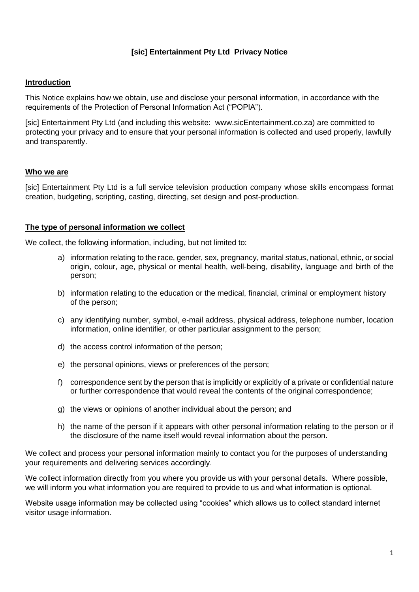# **[sic] Entertainment Pty Ltd Privacy Notice**

### **Introduction**

This Notice explains how we obtain, use and disclose your personal information, in accordance with the requirements of the Protection of Personal Information Act ("POPIA").

[sic] Entertainment Pty Ltd (and including this website: www.sicEntertainment.co.za) are committed to protecting your privacy and to ensure that your personal information is collected and used properly, lawfully and transparently.

### **Who we are**

[sic] Entertainment Pty Ltd is a full service television production company whose skills encompass format creation, budgeting, scripting, casting, directing, set design and post-production.

### **The type of personal information we collect**

We collect, the following information, including, but not limited to:

- a) information relating to the race, gender, sex, pregnancy, marital status, national, ethnic, or social origin, colour, age, physical or mental health, well-being, disability, language and birth of the person;
- b) information relating to the education or the medical, financial, criminal or employment history of the person;
- c) any identifying number, symbol, e-mail address, physical address, telephone number, location information, online identifier, or other particular assignment to the person;
- d) the access control information of the person;
- e) the personal opinions, views or preferences of the person;
- f) correspondence sent by the person that is implicitly or explicitly of a private or confidential nature or further correspondence that would reveal the contents of the original correspondence;
- g) the views or opinions of another individual about the person; and
- h) the name of the person if it appears with other personal information relating to the person or if the disclosure of the name itself would reveal information about the person.

We collect and process your personal information mainly to contact you for the purposes of understanding your requirements and delivering services accordingly.

We collect information directly from you where you provide us with your personal details. Where possible, we will inform you what information you are required to provide to us and what information is optional.

Website usage information may be collected using "cookies" which allows us to collect standard internet visitor usage information.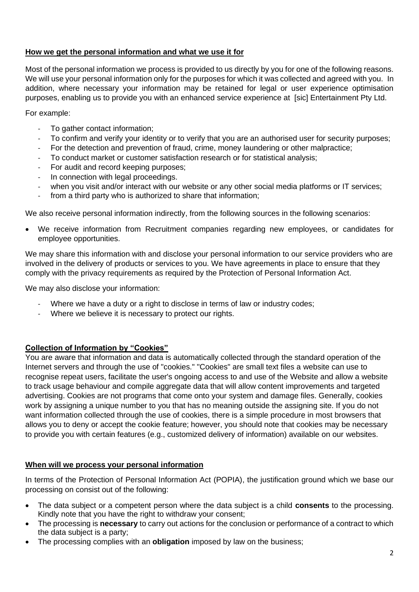# **How we get the personal information and what we use it for**

Most of the personal information we process is provided to us directly by you for one of the following reasons. We will use your personal information only for the purposes for which it was collected and agreed with you. In addition, where necessary your information may be retained for legal or user experience optimisation purposes, enabling us to provide you with an enhanced service experience at [sic] Entertainment Pty Ltd.

For example:

- To gather contact information;
- To confirm and verify your identity or to verify that you are an authorised user for security purposes;
- For the detection and prevention of fraud, crime, money laundering or other malpractice;
- To conduct market or customer satisfaction research or for statistical analysis;
- For audit and record keeping purposes:
- In connection with legal proceedings.
- when you visit and/or interact with our website or any other social media platforms or IT services;
- from a third party who is authorized to share that information;

We also receive personal information indirectly, from the following sources in the following scenarios:

• We receive information from Recruitment companies regarding new employees, or candidates for employee opportunities.

We may share this information with and disclose your personal information to our service providers who are involved in the delivery of products or services to you. We have agreements in place to ensure that they comply with the privacy requirements as required by the Protection of Personal Information Act.

We may also disclose your information:

- Where we have a duty or a right to disclose in terms of law or industry codes;
- Where we believe it is necessary to protect our rights.

# **Collection of Information by "Cookies"**

You are aware that information and data is automatically collected through the standard operation of the Internet servers and through the use of "cookies." "Cookies" are small text files a website can use to recognise repeat users, facilitate the user's ongoing access to and use of the Website and allow a website to track usage behaviour and compile aggregate data that will allow content improvements and targeted advertising. Cookies are not programs that come onto your system and damage files. Generally, cookies work by assigning a unique number to you that has no meaning outside the assigning site. If you do not want information collected through the use of cookies, there is a simple procedure in most browsers that allows you to deny or accept the cookie feature; however, you should note that cookies may be necessary to provide you with certain features (e.g., customized delivery of information) available on our websites.

# **When will we process your personal information**

In terms of the Protection of Personal Information Act (POPIA), the justification ground which we base our processing on consist out of the following:

- The data subject or a competent person where the data subject is a child **consents** to the processing. Kindly note that you have the right to withdraw your consent;
- The processing is **necessary** to carry out actions for the conclusion or performance of a contract to which the data subject is a party;
- The processing complies with an **obligation** imposed by law on the business;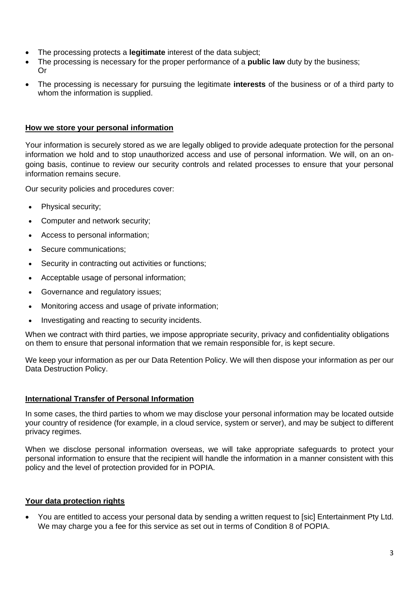- The processing protects a **legitimate** interest of the data subject;
- The processing is necessary for the proper performance of a **public law** duty by the business; Or
- The processing is necessary for pursuing the legitimate **interests** of the business or of a third party to whom the information is supplied.

#### **How we store your personal information**

Your information is securely stored as we are legally obliged to provide adequate protection for the personal information we hold and to stop unauthorized access and use of personal information. We will, on an ongoing basis, continue to review our security controls and related processes to ensure that your personal information remains secure.

Our security policies and procedures cover:

- Physical security;
- Computer and network security;
- Access to personal information;
- Secure communications;
- Security in contracting out activities or functions;
- Acceptable usage of personal information;
- Governance and regulatory issues;
- Monitoring access and usage of private information;
- Investigating and reacting to security incidents.

When we contract with third parties, we impose appropriate security, privacy and confidentiality obligations on them to ensure that personal information that we remain responsible for, is kept secure.

We keep your information as per our Data Retention Policy. We will then dispose your information as per our Data Destruction Policy.

### **International Transfer of Personal Information**

In some cases, the third parties to whom we may disclose your personal information may be located outside your country of residence (for example, in a cloud service, system or server), and may be subject to different privacy regimes.

When we disclose personal information overseas, we will take appropriate safeguards to protect your personal information to ensure that the recipient will handle the information in a manner consistent with this policy and the level of protection provided for in POPIA.

# **Your data protection rights**

• You are entitled to access your personal data by sending a written request to [sic] Entertainment Pty Ltd. We may charge you a fee for this service as set out in terms of Condition 8 of POPIA.